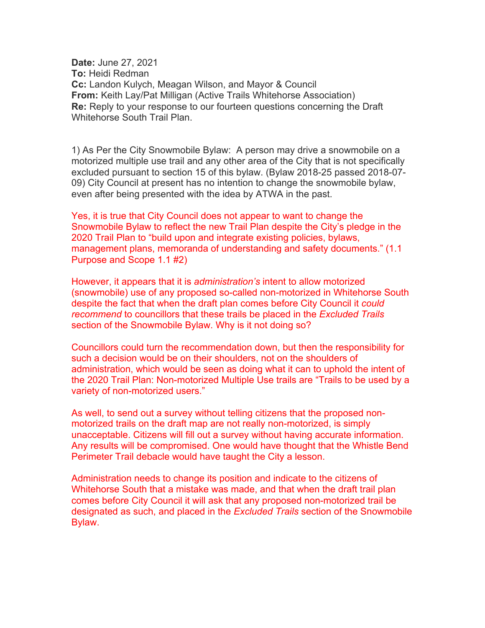**Date:** June 27, 2021 **To:** Heidi Redman **Cc:** Landon Kulych, Meagan Wilson, and Mayor & Council **From:** Keith Lay/Pat Milligan (Active Trails Whitehorse Association) **Re:** Reply to your response to our fourteen questions concerning the Draft Whitehorse South Trail Plan.

1) As Per the City Snowmobile Bylaw: A person may drive a snowmobile on a motorized multiple use trail and any other area of the City that is not specifically excluded pursuant to section 15 of this bylaw. (Bylaw 2018-25 passed 2018-07- 09) City Council at present has no intention to change the snowmobile bylaw, even after being presented with the idea by ATWA in the past.

Yes, it is true that City Council does not appear to want to change the Snowmobile Bylaw to reflect the new Trail Plan despite the City's pledge in the 2020 Trail Plan to "build upon and integrate existing policies, bylaws, management plans, memoranda of understanding and safety documents." (1.1 Purpose and Scope 1.1 #2)

However, it appears that it is *administration's* intent to allow motorized (snowmobile) use of any proposed so-called non-motorized in Whitehorse South despite the fact that when the draft plan comes before City Council it *could recommend* to councillors that these trails be placed in the *Excluded Trails* section of the Snowmobile Bylaw. Why is it not doing so?

Councillors could turn the recommendation down, but then the responsibility for such a decision would be on their shoulders, not on the shoulders of administration, which would be seen as doing what it can to uphold the intent of the 2020 Trail Plan: Non-motorized Multiple Use trails are "Trails to be used by a variety of non-motorized users."

As well, to send out a survey without telling citizens that the proposed nonmotorized trails on the draft map are not really non-motorized, is simply unacceptable. Citizens will fill out a survey without having accurate information. Any results will be compromised. One would have thought that the Whistle Bend Perimeter Trail debacle would have taught the City a lesson.

Administration needs to change its position and indicate to the citizens of Whitehorse South that a mistake was made, and that when the draft trail plan comes before City Council it will ask that any proposed non-motorized trail be designated as such, and placed in the *Excluded Trails* section of the Snowmobile Bylaw.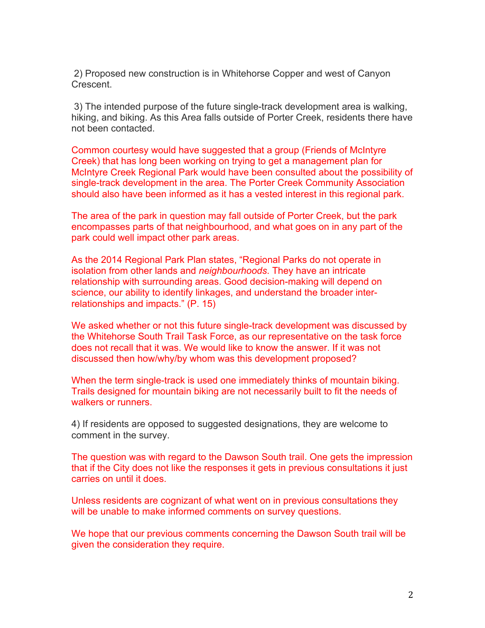2) Proposed new construction is in Whitehorse Copper and west of Canyon Crescent.

3) The intended purpose of the future single-track development area is walking, hiking, and biking. As this Area falls outside of Porter Creek, residents there have not been contacted.

Common courtesy would have suggested that a group (Friends of McIntyre Creek) that has long been working on trying to get a management plan for McIntyre Creek Regional Park would have been consulted about the possibility of single-track development in the area. The Porter Creek Community Association should also have been informed as it has a vested interest in this regional park.

The area of the park in question may fall outside of Porter Creek, but the park encompasses parts of that neighbourhood, and what goes on in any part of the park could well impact other park areas.

As the 2014 Regional Park Plan states, "Regional Parks do not operate in isolation from other lands and *neighbourhoods*. They have an intricate relationship with surrounding areas. Good decision-making will depend on science, our ability to identify linkages, and understand the broader interrelationships and impacts." (P. 15)

We asked whether or not this future single-track development was discussed by the Whitehorse South Trail Task Force, as our representative on the task force does not recall that it was. We would like to know the answer. If it was not discussed then how/why/by whom was this development proposed?

When the term single-track is used one immediately thinks of mountain biking. Trails designed for mountain biking are not necessarily built to fit the needs of walkers or runners.

4) If residents are opposed to suggested designations, they are welcome to comment in the survey.

The question was with regard to the Dawson South trail. One gets the impression that if the City does not like the responses it gets in previous consultations it just carries on until it does.

Unless residents are cognizant of what went on in previous consultations they will be unable to make informed comments on survey questions.

We hope that our previous comments concerning the Dawson South trail will be given the consideration they require.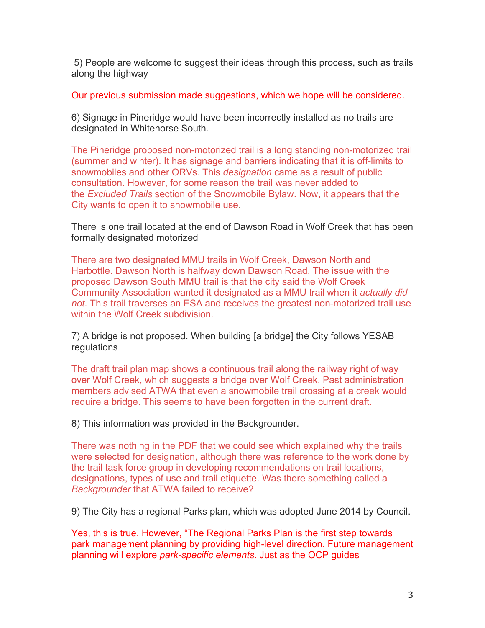5) People are welcome to suggest their ideas through this process, such as trails along the highway

Our previous submission made suggestions, which we hope will be considered.

6) Signage in Pineridge would have been incorrectly installed as no trails are designated in Whitehorse South.

The Pineridge proposed non-motorized trail is a long standing non-motorized trail (summer and winter). It has signage and barriers indicating that it is off-limits to snowmobiles and other ORVs. This *designation* came as a result of public consultation. However, for some reason the trail was never added to the *Excluded Trails* section of the Snowmobile Bylaw. Now, it appears that the City wants to open it to snowmobile use.

There is one trail located at the end of Dawson Road in Wolf Creek that has been formally designated motorized

There are two designated MMU trails in Wolf Creek, Dawson North and Harbottle. Dawson North is halfway down Dawson Road. The issue with the proposed Dawson South MMU trail is that the city said the Wolf Creek Community Association wanted it designated as a MMU trail when it *actually did not.* This trail traverses an ESA and receives the greatest non-motorized trail use within the Wolf Creek subdivision.

7) A bridge is not proposed. When building [a bridge] the City follows YESAB regulations

The draft trail plan map shows a continuous trail along the railway right of way over Wolf Creek, which suggests a bridge over Wolf Creek. Past administration members advised ATWA that even a snowmobile trail crossing at a creek would require a bridge. This seems to have been forgotten in the current draft.

8) This information was provided in the Backgrounder.

There was nothing in the PDF that we could see which explained why the trails were selected for designation, although there was reference to the work done by the trail task force group in developing recommendations on trail locations, designations, types of use and trail etiquette. Was there something called a *Backgrounder* that ATWA failed to receive?

9) The City has a regional Parks plan, which was adopted June 2014 by Council.

Yes, this is true. However, "The Regional Parks Plan is the first step towards park management planning by providing high-level direction. Future management planning will explore *park-specific elements*. Just as the OCP guides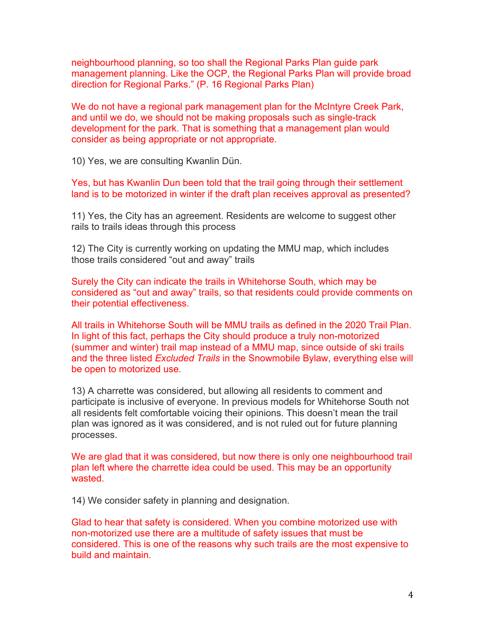neighbourhood planning, so too shall the Regional Parks Plan guide park management planning. Like the OCP, the Regional Parks Plan will provide broad direction for Regional Parks." (P. 16 Regional Parks Plan)

We do not have a regional park management plan for the McIntyre Creek Park, and until we do, we should not be making proposals such as single-track development for the park. That is something that a management plan would consider as being appropriate or not appropriate.

10) Yes, we are consulting Kwanlin Dün.

Yes, but has Kwanlin Dun been told that the trail going through their settlement land is to be motorized in winter if the draft plan receives approval as presented?

11) Yes, the City has an agreement. Residents are welcome to suggest other rails to trails ideas through this process

12) The City is currently working on updating the MMU map, which includes those trails considered "out and away" trails

Surely the City can indicate the trails in Whitehorse South, which may be considered as "out and away" trails, so that residents could provide comments on their potential effectiveness.

All trails in Whitehorse South will be MMU trails as defined in the 2020 Trail Plan. In light of this fact, perhaps the City should produce a truly non-motorized (summer and winter) trail map instead of a MMU map, since outside of ski trails and the three listed *Excluded Trails* in the Snowmobile Bylaw, everything else will be open to motorized use.

13) A charrette was considered, but allowing all residents to comment and participate is inclusive of everyone. In previous models for Whitehorse South not all residents felt comfortable voicing their opinions. This doesn't mean the trail plan was ignored as it was considered, and is not ruled out for future planning processes.

We are glad that it was considered, but now there is only one neighbourhood trail plan left where the charrette idea could be used. This may be an opportunity wasted.

14) We consider safety in planning and designation.

Glad to hear that safety is considered. When you combine motorized use with non-motorized use there are a multitude of safety issues that must be considered. This is one of the reasons why such trails are the most expensive to build and maintain.